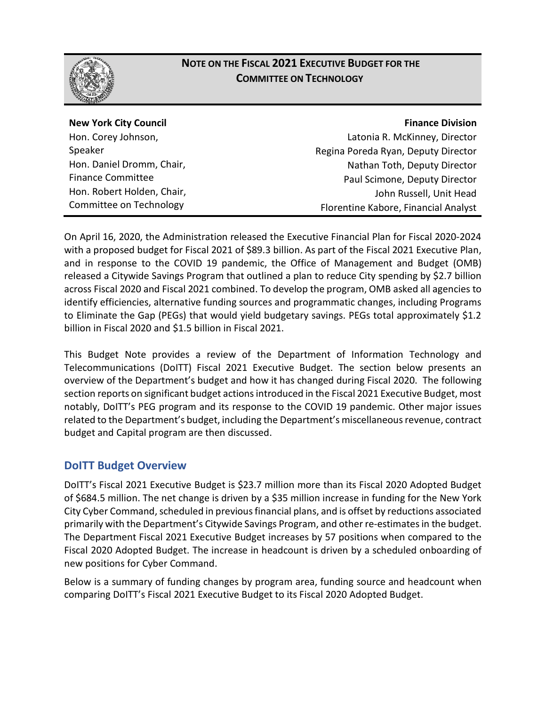

## **NOTE ON THE FISCAL 2021 EXECUTIVE BUDGET FOR THE COMMITTEE ON TECHNOLOGY**

**New York City Council**

Hon. Corey Johnson, Speaker Hon. Daniel Dromm, Chair, Finance Committee Hon. Robert Holden, Chair, Committee on Technology

#### **Finance Division**

Latonia R. McKinney, Director Regina Poreda Ryan, Deputy Director Nathan Toth, Deputy Director Paul Scimone, Deputy Director John Russell, Unit Head Florentine Kabore, Financial Analyst

On April 16, 2020, the Administration released the Executive Financial Plan for Fiscal 2020-2024 with a proposed budget for Fiscal 2021 of \$89.3 billion. As part of the Fiscal 2021 Executive Plan, and in response to the COVID 19 pandemic, the Office of Management and Budget (OMB) released a Citywide Savings Program that outlined a plan to reduce City spending by \$2.7 billion across Fiscal 2020 and Fiscal 2021 combined. To develop the program, OMB asked all agencies to identify efficiencies, alternative funding sources and programmatic changes, including Programs to Eliminate the Gap (PEGs) that would yield budgetary savings. PEGs total approximately \$1.2 billion in Fiscal 2020 and \$1.5 billion in Fiscal 2021.

This Budget Note provides a review of the Department of Information Technology and Telecommunications (DoITT) Fiscal 2021 Executive Budget. The section below presents an overview of the Department's budget and how it has changed during Fiscal 2020. The following section reports on significant budget actions introduced in the Fiscal 2021 Executive Budget, most notably, DoITT's PEG program and its response to the COVID 19 pandemic. Other major issues related to the Department's budget, including the Department's miscellaneous revenue, contract budget and Capital program are then discussed.

## **DoITT Budget Overview**

DoITT's Fiscal 2021 Executive Budget is \$23.7 million more than its Fiscal 2020 Adopted Budget of \$684.5 million. The net change is driven by a \$35 million increase in funding for the New York City Cyber Command, scheduled in previous financial plans, and is offset by reductions associated primarily with the Department's Citywide Savings Program, and other re-estimates in the budget. The Department Fiscal 2021 Executive Budget increases by 57 positions when compared to the Fiscal 2020 Adopted Budget. The increase in headcount is driven by a scheduled onboarding of new positions for Cyber Command.

Below is a summary of funding changes by program area, funding source and headcount when comparing DoITT's Fiscal 2021 Executive Budget to its Fiscal 2020 Adopted Budget.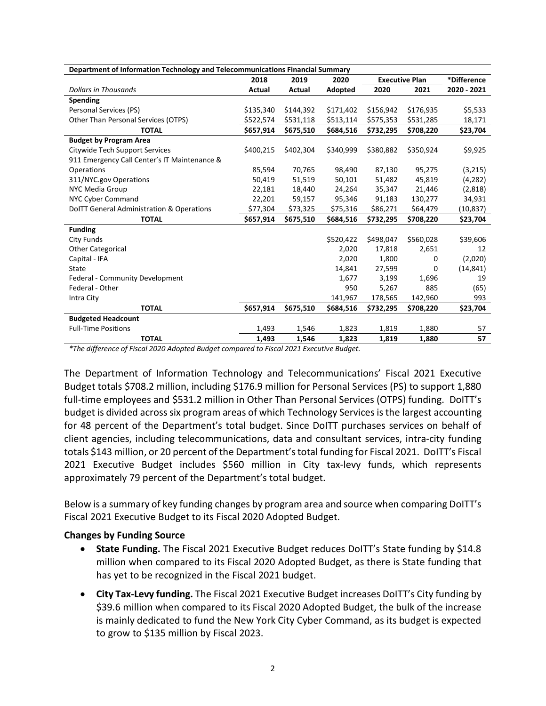| Department of Information Technology and Telecommunications Financial Summary |           |           |           |                       |           |             |  |
|-------------------------------------------------------------------------------|-----------|-----------|-----------|-----------------------|-----------|-------------|--|
|                                                                               | 2018      | 2019      | 2020      | <b>Executive Plan</b> |           | *Difference |  |
| <b>Dollars in Thousands</b>                                                   | Actual    | Actual    | Adopted   | 2020                  | 2021      | 2020 - 2021 |  |
| Spending                                                                      |           |           |           |                       |           |             |  |
| Personal Services (PS)                                                        | \$135,340 | \$144,392 | \$171,402 | \$156,942             | \$176,935 | \$5,533     |  |
| Other Than Personal Services (OTPS)                                           | \$522,574 | \$531,118 | \$513,114 | \$575,353             | \$531,285 | 18,171      |  |
| <b>TOTAL</b>                                                                  | \$657,914 | \$675,510 | \$684,516 | \$732,295             | \$708,220 | \$23,704    |  |
| <b>Budget by Program Area</b>                                                 |           |           |           |                       |           |             |  |
| Citywide Tech Support Services                                                | \$400,215 | \$402,304 | \$340,999 | \$380,882             | \$350,924 | \$9,925     |  |
| 911 Emergency Call Center's IT Maintenance &                                  |           |           |           |                       |           |             |  |
| Operations                                                                    | 85,594    | 70,765    | 98,490    | 87,130                | 95,275    | (3,215)     |  |
| 311/NYC.gov Operations                                                        | 50,419    | 51,519    | 50,101    | 51,482                | 45,819    | (4,282)     |  |
| NYC Media Group                                                               | 22,181    | 18,440    | 24,264    | 35,347                | 21,446    | (2,818)     |  |
| <b>NYC Cyber Command</b>                                                      | 22,201    | 59,157    | 95,346    | 91,183                | 130,277   | 34,931      |  |
| DoITT General Administration & Operations                                     | \$77,304  | \$73,325  | \$75,316  | \$86,271              | \$64,479  | (10, 837)   |  |
| <b>TOTAL</b>                                                                  | \$657,914 | \$675,510 | \$684,516 | \$732,295             | \$708,220 | \$23,704    |  |
| <b>Funding</b>                                                                |           |           |           |                       |           |             |  |
| <b>City Funds</b>                                                             |           |           | \$520,422 | \$498,047             | \$560,028 | \$39,606    |  |
| <b>Other Categorical</b>                                                      |           |           | 2,020     | 17,818                | 2,651     | 12          |  |
| Capital - IFA                                                                 |           |           | 2,020     | 1,800                 | 0         | (2,020)     |  |
| State                                                                         |           |           | 14,841    | 27,599                | 0         | (14, 841)   |  |
| Federal - Community Development                                               |           |           | 1,677     | 3,199                 | 1,696     | 19          |  |
| Federal - Other                                                               |           |           | 950       | 5,267                 | 885       | (65)        |  |
| Intra City                                                                    |           |           | 141,967   | 178,565               | 142,960   | 993         |  |
| <b>TOTAL</b>                                                                  | \$657,914 | \$675,510 | \$684,516 | \$732,295             | \$708,220 | \$23,704    |  |
| <b>Budgeted Headcount</b>                                                     |           |           |           |                       |           |             |  |
| <b>Full-Time Positions</b>                                                    | 1,493     | 1,546     | 1,823     | 1,819                 | 1,880     | 57          |  |
| <b>TOTAL</b><br>$\cdot \cdot$                                                 | 1,493     | 1,546     | 1,823     | 1,819                 | 1,880     | 57          |  |

*\*The difference of Fiscal 2020 Adopted Budget compared to Fiscal 2021 Executive Budget.*

The Department of Information Technology and Telecommunications' Fiscal 2021 Executive Budget totals \$708.2 million, including \$176.9 million for Personal Services (PS) to support 1,880 full-time employees and \$531.2 million in Other Than Personal Services (OTPS) funding. DoITT's budget is divided across six program areas of which Technology Services is the largest accounting for 48 percent of the Department's total budget. Since DoITT purchases services on behalf of client agencies, including telecommunications, data and consultant services, intra-city funding totals \$143 million, or 20 percent of the Department's total funding for Fiscal 2021. DoITT's Fiscal 2021 Executive Budget includes \$560 million in City tax-levy funds, which represents approximately 79 percent of the Department's total budget.

Below is a summary of key funding changes by program area and source when comparing DoITT's Fiscal 2021 Executive Budget to its Fiscal 2020 Adopted Budget.

#### **Changes by Funding Source**

- **State Funding.** The Fiscal 2021 Executive Budget reduces DoITT's State funding by \$14.8 million when compared to its Fiscal 2020 Adopted Budget, as there is State funding that has yet to be recognized in the Fiscal 2021 budget.
- **City Tax-Levy funding.** The Fiscal 2021 Executive Budget increases DoITT's City funding by \$39.6 million when compared to its Fiscal 2020 Adopted Budget, the bulk of the increase is mainly dedicated to fund the New York City Cyber Command, as its budget is expected to grow to \$135 million by Fiscal 2023.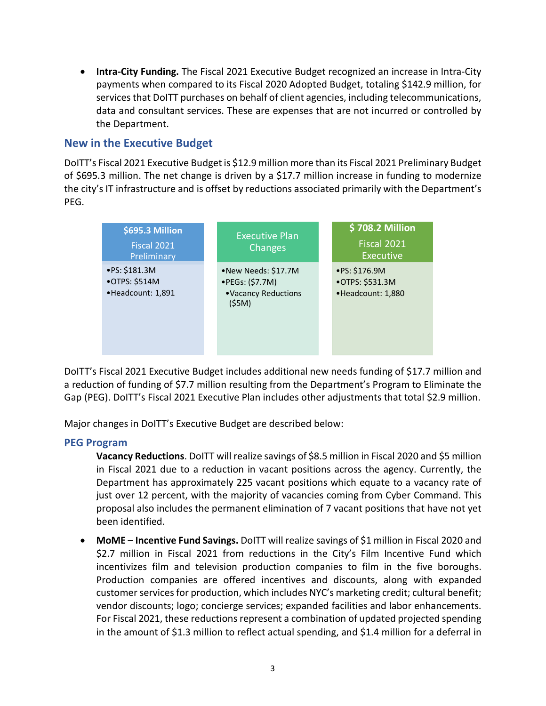• **Intra-City Funding.** The Fiscal 2021 Executive Budget recognized an increase in Intra-City payments when compared to its Fiscal 2020 Adopted Budget, totaling \$142.9 million, for services that DoITT purchases on behalf of client agencies, including telecommunications, data and consultant services. These are expenses that are not incurred or controlled by the Department.

## **New in the Executive Budget**

DoITT's Fiscal 2021 Executive Budget is \$12.9 million more than its Fiscal 2021 Preliminary Budget of \$695.3 million. The net change is driven by a \$17.7 million increase in funding to modernize the city's IT infrastructure and is offset by reductions associated primarily with the Department's PEG.

| \$695.3 Million<br><b>Fiscal 2021</b><br>Preliminary | <b>Executive Plan</b><br>Changes                                                 | \$708.2 Million<br>Fiscal 2021<br><b>Executive</b>           |
|------------------------------------------------------|----------------------------------------------------------------------------------|--------------------------------------------------------------|
| ·PS: \$181.3M<br>•OTPS: \$514M<br>•Headcount: 1,891  | •New Needs: \$17.7M<br>$\bullet$ PEGs: (\$7.7M)<br>• Vacancy Reductions<br>(55M) | $\cdot$ PS: \$176.9M<br>•OTPS: \$531.3M<br>•Headcount: 1,880 |

DoITT's Fiscal 2021 Executive Budget includes additional new needs funding of \$17.7 million and a reduction of funding of \$7.7 million resulting from the Department's Program to Eliminate the Gap (PEG). DoITT's Fiscal 2021 Executive Plan includes other adjustments that total \$2.9 million.

Major changes in DoITT's Executive Budget are described below:

#### **PEG Program**

**Vacancy Reductions**. DoITT will realize savings of \$8.5 million in Fiscal 2020 and \$5 million in Fiscal 2021 due to a reduction in vacant positions across the agency. Currently, the Department has approximately 225 vacant positions which equate to a vacancy rate of just over 12 percent, with the majority of vacancies coming from Cyber Command. This proposal also includes the permanent elimination of 7 vacant positions that have not yet been identified.

• **MoME – Incentive Fund Savings.** DoITT will realize savings of \$1 million in Fiscal 2020 and \$2.7 million in Fiscal 2021 from reductions in the City's Film Incentive Fund which incentivizes film and television production companies to film in the five boroughs. Production companies are offered incentives and discounts, along with expanded customer services for production, which includes NYC's marketing credit; cultural benefit; vendor discounts; logo; concierge services; expanded facilities and labor enhancements. For Fiscal 2021, these reductions represent a combination of updated projected spending in the amount of \$1.3 million to reflect actual spending, and \$1.4 million for a deferral in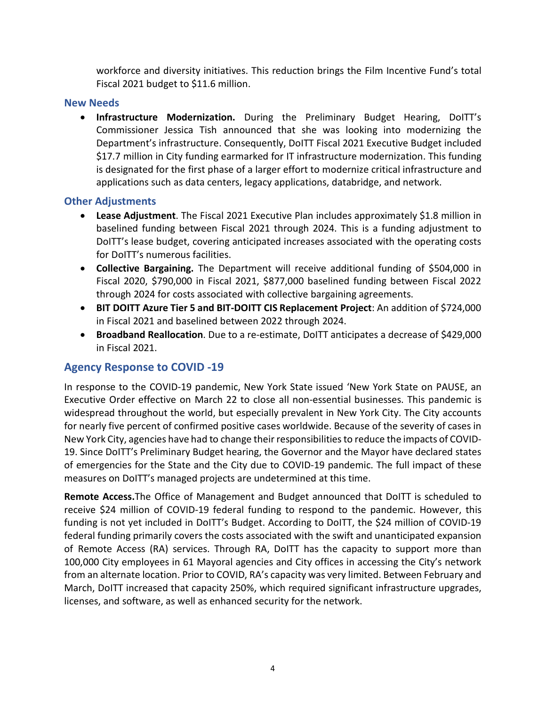workforce and diversity initiatives. This reduction brings the Film Incentive Fund's total Fiscal 2021 budget to \$11.6 million.

#### **New Needs**

• **Infrastructure Modernization.** During the Preliminary Budget Hearing, DoITT's Commissioner Jessica Tish announced that she was looking into modernizing the Department's infrastructure. Consequently, DoITT Fiscal 2021 Executive Budget included \$17.7 million in City funding earmarked for IT infrastructure modernization. This funding is designated for the first phase of a larger effort to modernize critical infrastructure and applications such as data centers, legacy applications, databridge, and network.

#### **Other Adjustments**

- **Lease Adjustment**. The Fiscal 2021 Executive Plan includes approximately \$1.8 million in baselined funding between Fiscal 2021 through 2024. This is a funding adjustment to DoITT's lease budget, covering anticipated increases associated with the operating costs for DoITT's numerous facilities.
- **Collective Bargaining.** The Department will receive additional funding of \$504,000 in Fiscal 2020, \$790,000 in Fiscal 2021, \$877,000 baselined funding between Fiscal 2022 through 2024 for costs associated with collective bargaining agreements.
- **BIT DOITT Azure Tier 5 and BIT-DOITT CIS Replacement Project**: An addition of \$724,000 in Fiscal 2021 and baselined between 2022 through 2024.
- **Broadband Reallocation**. Due to a re-estimate, DoITT anticipates a decrease of \$429,000 in Fiscal 2021.

## **Agency Response to COVID -19**

In response to the COVID-19 pandemic, New York State issued 'New York State on PAUSE, an Executive Order effective on March 22 to close all non-essential businesses. This pandemic is widespread throughout the world, but especially prevalent in New York City. The City accounts for nearly five percent of confirmed positive cases worldwide. Because of the severity of cases in New York City, agencies have had to change their responsibilities to reduce the impacts of COVID-19. Since DoITT's Preliminary Budget hearing, the Governor and the Mayor have declared states of emergencies for the State and the City due to COVID-19 pandemic. The full impact of these measures on DoITT's managed projects are undetermined at this time.

**Remote Access.**The Office of Management and Budget announced that DoITT is scheduled to receive \$24 million of COVID-19 federal funding to respond to the pandemic. However, this funding is not yet included in DoITT's Budget. According to DoITT, the \$24 million of COVID-19 federal funding primarily covers the costs associated with the swift and unanticipated expansion of Remote Access (RA) services. Through RA, DoITT has the capacity to support more than 100,000 City employees in 61 Mayoral agencies and City offices in accessing the City's network from an alternate location. Prior to COVID, RA's capacity was very limited. Between February and March, DoITT increased that capacity 250%, which required significant infrastructure upgrades, licenses, and software, as well as enhanced security for the network.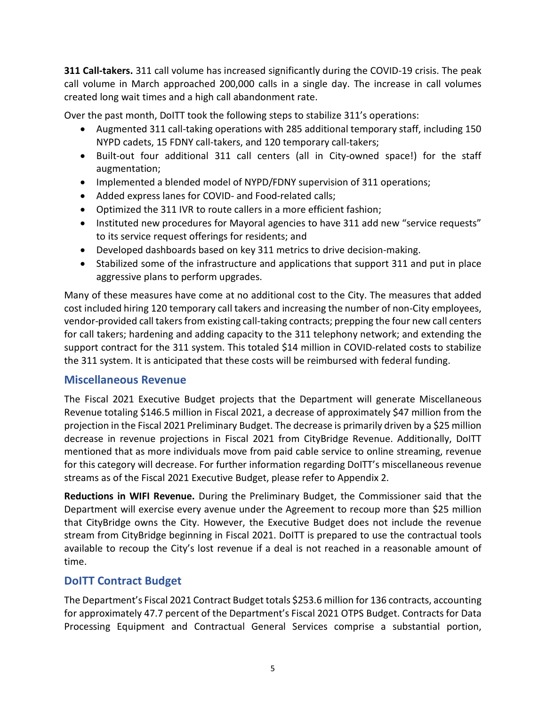**311 Call-takers.** 311 call volume has increased significantly during the COVID-19 crisis. The peak call volume in March approached 200,000 calls in a single day. The increase in call volumes created long wait times and a high call abandonment rate.

Over the past month, DoITT took the following steps to stabilize 311's operations:

- Augmented 311 call-taking operations with 285 additional temporary staff, including 150 NYPD cadets, 15 FDNY call-takers, and 120 temporary call-takers;
- Built-out four additional 311 call centers (all in City-owned space!) for the staff augmentation;
- Implemented a blended model of NYPD/FDNY supervision of 311 operations;
- Added express lanes for COVID- and Food-related calls;
- Optimized the 311 IVR to route callers in a more efficient fashion;
- Instituted new procedures for Mayoral agencies to have 311 add new "service requests" to its service request offerings for residents; and
- Developed dashboards based on key 311 metrics to drive decision-making.
- Stabilized some of the infrastructure and applications that support 311 and put in place aggressive plans to perform upgrades.

Many of these measures have come at no additional cost to the City. The measures that added cost included hiring 120 temporary call takers and increasing the number of non-City employees, vendor-provided call takers from existing call-taking contracts; prepping the four new call centers for call takers; hardening and adding capacity to the 311 telephony network; and extending the support contract for the 311 system. This totaled \$14 million in COVID-related costs to stabilize the 311 system. It is anticipated that these costs will be reimbursed with federal funding.

#### **Miscellaneous Revenue**

The Fiscal 2021 Executive Budget projects that the Department will generate Miscellaneous Revenue totaling \$146.5 million in Fiscal 2021, a decrease of approximately \$47 million from the projection in the Fiscal 2021 Preliminary Budget. The decrease is primarily driven by a \$25 million decrease in revenue projections in Fiscal 2021 from CityBridge Revenue. Additionally, DoITT mentioned that as more individuals move from paid cable service to online streaming, revenue for this category will decrease. For further information regarding DoITT's miscellaneous revenue streams as of the Fiscal 2021 Executive Budget, please refer to Appendix 2.

**Reductions in WIFI Revenue.** During the Preliminary Budget, the Commissioner said that the Department will exercise every avenue under the Agreement to recoup more than \$25 million that CityBridge owns the City. However, the Executive Budget does not include the revenue stream from CityBridge beginning in Fiscal 2021. DoITT is prepared to use the contractual tools available to recoup the City's lost revenue if a deal is not reached in a reasonable amount of time.

## **DoITT Contract Budget**

The Department's Fiscal 2021 Contract Budget totals \$253.6 million for 136 contracts, accounting for approximately 47.7 percent of the Department's Fiscal 2021 OTPS Budget. Contracts for Data Processing Equipment and Contractual General Services comprise a substantial portion,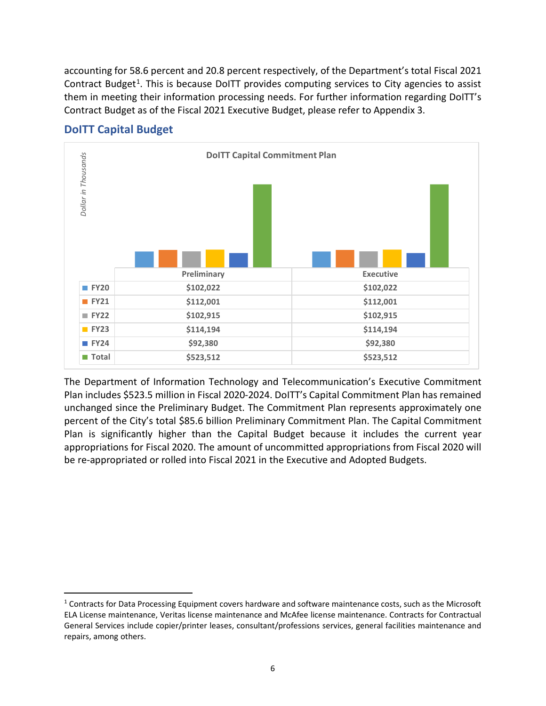accounting for 58.6 percent and 20.8 percent respectively, of the Department's total Fiscal 2021 Contract Budget<sup>[1](#page-5-0)</sup>. This is because DoITT provides computing services to City agencies to assist them in meeting their information processing needs. For further information regarding DoITT's Contract Budget as of the Fiscal 2021 Executive Budget, please refer to Appendix 3.



## **DoITT Capital Budget**

The Department of Information Technology and Telecommunication's Executive Commitment Plan includes \$523.5 million in Fiscal 2020-2024. DoITT's Capital Commitment Plan has remained unchanged since the Preliminary Budget. The Commitment Plan represents approximately one percent of the City's total \$85.6 billion Preliminary Commitment Plan. The Capital Commitment Plan is significantly higher than the Capital Budget because it includes the current year appropriations for Fiscal 2020. The amount of uncommitted appropriations from Fiscal 2020 will be re-appropriated or rolled into Fiscal 2021 in the Executive and Adopted Budgets.

<span id="page-5-0"></span> <sup>1</sup> Contracts for Data Processing Equipment covers hardware and software maintenance costs, such as the Microsoft ELA License maintenance, Veritas license maintenance and McAfee license maintenance. Contracts for Contractual General Services include copier/printer leases, consultant/professions services, general facilities maintenance and repairs, among others.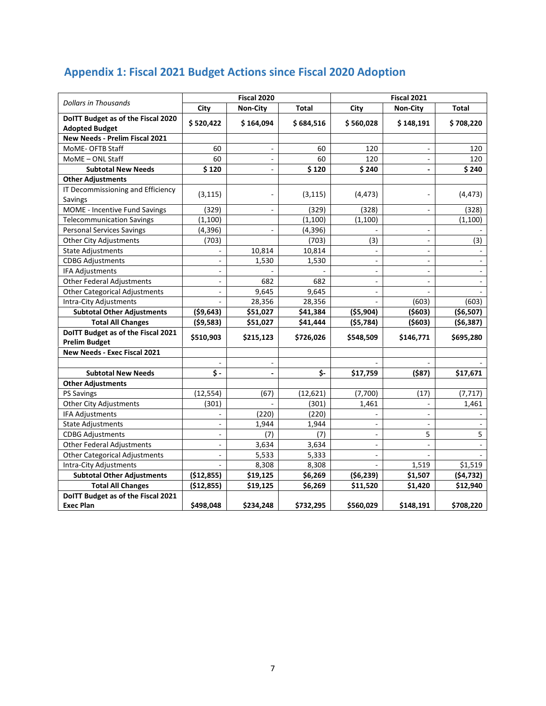|                                                             |                          | Fiscal 2020    |              |                          | Fiscal 2021              |              |  |  |
|-------------------------------------------------------------|--------------------------|----------------|--------------|--------------------------|--------------------------|--------------|--|--|
| <b>Dollars in Thousands</b>                                 | City                     | Non-City       | <b>Total</b> | City                     | <b>Non-City</b>          | <b>Total</b> |  |  |
| DoITT Budget as of the Fiscal 2020<br><b>Adopted Budget</b> | \$520,422                | \$164,094      | \$684,516    | \$560,028                | \$148,191                | \$708,220    |  |  |
| New Needs - Prelim Fiscal 2021                              |                          |                |              |                          |                          |              |  |  |
| MoME- OFTB Staff                                            | 60                       | $\blacksquare$ | 60           | 120                      | ÷,                       | 120          |  |  |
| MoME - ONL Staff                                            | 60                       | $\blacksquare$ | 60           | 120                      | $\overline{\phantom{a}}$ | 120          |  |  |
| <b>Subtotal New Needs</b>                                   | \$120                    | $\blacksquare$ | \$120        | \$240                    | $\blacksquare$           | \$240        |  |  |
| <b>Other Adjustments</b>                                    |                          |                |              |                          |                          |              |  |  |
| IT Decommissioning and Efficiency<br>Savings                | (3, 115)                 |                | (3, 115)     | (4, 473)                 |                          | (4, 473)     |  |  |
| MOME - Incentive Fund Savings                               | (329)                    | $\blacksquare$ | (329)        | (328)                    | $\blacksquare$           | (328)        |  |  |
| <b>Telecommunication Savings</b>                            | (1,100)                  |                | (1,100)      | (1,100)                  |                          | (1,100)      |  |  |
| <b>Personal Services Savings</b>                            | (4, 396)                 | ä,             | (4, 396)     |                          | ÷,                       |              |  |  |
| <b>Other City Adjustments</b>                               | (703)                    |                | (703)        | (3)                      |                          | (3)          |  |  |
| <b>State Adjustments</b>                                    |                          | 10,814         | 10,814       |                          | $\overline{\phantom{a}}$ |              |  |  |
| <b>CDBG Adjustments</b>                                     | $\overline{\phantom{a}}$ | 1,530          | 1,530        | $\blacksquare$           | $\overline{\phantom{a}}$ | $\sim$       |  |  |
| IFA Adjustments                                             | $\overline{\phantom{a}}$ |                |              | ÷,                       | $\overline{\phantom{a}}$ |              |  |  |
| <b>Other Federal Adjustments</b>                            | $\overline{a}$           | 682            | 682          | L.                       |                          |              |  |  |
| <b>Other Categorical Adjustments</b>                        | $\blacksquare$           | 9,645          | 9,645        | $\overline{\phantom{a}}$ |                          |              |  |  |
| Intra-City Adjustments                                      |                          | 28,356         | 28,356       |                          | (603)                    | (603)        |  |  |
| <b>Subtotal Other Adjustments</b>                           | ( \$9,643)               | \$51,027       | \$41,384     | ( \$5,904)               | (5603)                   | ( \$6,507)   |  |  |
| <b>Total All Changes</b>                                    | (59,583)                 | \$51,027       | \$41,444     | (55, 784)                | (5603)                   | (56, 387)    |  |  |
| DoITT Budget as of the Fiscal 2021<br><b>Prelim Budget</b>  | \$510,903                | \$215,123      | \$726,026    | \$548,509                | \$146,771                | \$695,280    |  |  |
| New Needs - Exec Fiscal 2021                                |                          |                |              |                          |                          |              |  |  |
|                                                             | $\overline{a}$           | $\sim$         |              |                          | ÷.                       |              |  |  |
| <b>Subtotal New Needs</b>                                   | \$-                      | $\blacksquare$ | \$-          | \$17,759                 | (587)                    | \$17,671     |  |  |
| <b>Other Adjustments</b>                                    |                          |                |              |                          |                          |              |  |  |
| <b>PS Savings</b>                                           | (12, 554)                | (67)           | (12,621)     | (7,700)                  | (17)                     | (7, 717)     |  |  |
| <b>Other City Adjustments</b>                               | (301)                    |                | (301)        | 1,461                    | $\overline{a}$           | 1,461        |  |  |
| IFA Adjustments                                             |                          | (220)          | (220)        |                          | ÷,                       |              |  |  |
| <b>State Adjustments</b>                                    | ÷,                       | 1,944          | 1,944        | ä,                       | ÷,                       |              |  |  |
| <b>CDBG Adjustments</b>                                     | $\blacksquare$           | (7)            | (7)          | ä,                       | 5                        | 5            |  |  |
| <b>Other Federal Adjustments</b>                            | $\overline{a}$           | 3,634          | 3,634        | L.                       | $\overline{\phantom{a}}$ |              |  |  |
| <b>Other Categorical Adjustments</b>                        | ÷,                       | 5,533          | 5,333        | ä,                       |                          |              |  |  |
| Intra-City Adjustments                                      |                          | 8,308          | 8,308        |                          | 1,519                    | \$1,519      |  |  |
| <b>Subtotal Other Adjustments</b>                           | (\$12,855)               | \$19,125       | \$6,269      | (56, 239)                | \$1,507                  | (54, 732)    |  |  |
| <b>Total All Changes</b>                                    | (\$12,855)               | \$19,125       | \$6,269      | \$11,520                 | \$1,420                  | \$12,940     |  |  |
| DoITT Budget as of the Fiscal 2021                          |                          |                |              |                          |                          |              |  |  |
| <b>Exec Plan</b>                                            | \$498.048                | \$234,248      | \$732,295    | \$560,029                | \$148,191                | \$708,220    |  |  |

# **Appendix 1: Fiscal 2021 Budget Actions since Fiscal 2020 Adoption**